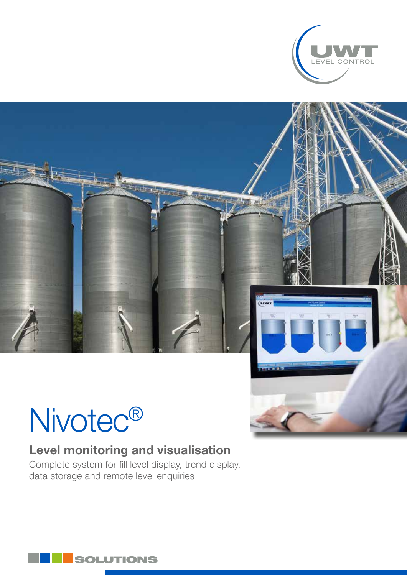

# Nivotec®

## Level monitoring and visualisation

Complete system for fill level display, trend display, data storage and remote level enquiries